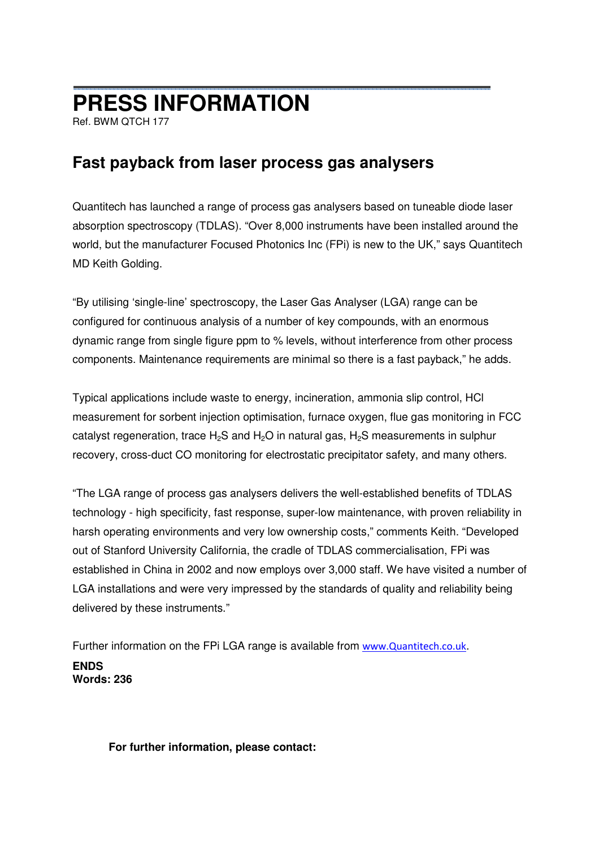## **PRESS INFORMATION**

Ref. BWM QTCH 177

## **Fast payback from laser process gas analysers**

Quantitech has launched a range of process gas analysers based on tuneable diode laser absorption spectroscopy (TDLAS). "Over 8,000 instruments have been installed around the world, but the manufacturer Focused Photonics Inc (FPi) is new to the UK," says Quantitech MD Keith Golding.

"By utilising 'single-line' spectroscopy, the Laser Gas Analyser (LGA) range can be configured for continuous analysis of a number of key compounds, with an enormous dynamic range from single figure ppm to % levels, without interference from other process components. Maintenance requirements are minimal so there is a fast payback," he adds.

Typical applications include waste to energy, incineration, ammonia slip control, HCl measurement for sorbent injection optimisation, furnace oxygen, flue gas monitoring in FCC catalyst regeneration, trace  $H_2S$  and  $H_2O$  in natural gas,  $H_2S$  measurements in sulphur recovery, cross-duct CO monitoring for electrostatic precipitator safety, and many others.

"The LGA range of process gas analysers delivers the well-established benefits of TDLAS technology - high specificity, fast response, super-low maintenance, with proven reliability in harsh operating environments and very low ownership costs," comments Keith. "Developed out of Stanford University California, the cradle of TDLAS commercialisation, FPi was established in China in 2002 and now employs over 3,000 staff. We have visited a number of LGA installations and were very impressed by the standards of quality and reliability being delivered by these instruments."

Further information on the FPi LGA range is available from www.Quantitech.co.uk. **ENDS Words: 236** 

## **For further information, please contact:**